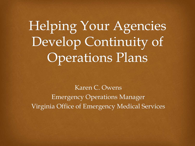Helping Your Agencies Develop Continuity of **Operations Plans** 

Karen C. Owens Emergency Operations Manager Virginia Office of Emergency Medical Services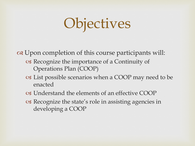## **Objectives**

 $\infty$  Upon completion of this course participants will: W Recognize the importance of a Continuity of Operations Plan (COOP)

- os List possible scenarios when a COOP may need to be enacted
- W Understand the elements of an effective COOP
- W Recognize the state's role in assisting agencies in developing a COOP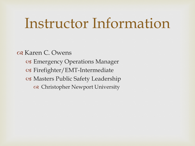#### Instructor Information

 $\alpha$  Karen C. Owens os Emergency Operations Manager  $\infty$  Firefighter/EMT-Intermediate cs Masters Public Safety Leadership  $\infty$  Christopher Newport University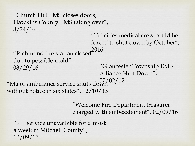```
"Church Hill EMS closes doors, 
  Hawkins County EMS taking over", 
  8/24/16
                                  "Gloucester Township EMS 
                                  Alliance Shut Down", 
                                  07/02/12
  "Richmond fire station closed 
  due to possible mold", 
  08/29/16
                               "Tri-cities medical crew could be 
                               forced to shut down by October", 
                              2016
"Major ambulance service shuts down
without notice in six states", 12/10/13
```
"Welcome Fire Department treasurer charged with embezzlement", 02/09/16

"911 service unavailable for almost a week in Mitchell County", 12/09/15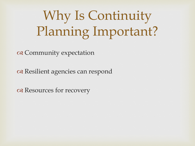## Why Is Continuity Planning Important?

 $\infty$  Community expectation

or Resilient agencies can respond

 $\alpha$  Resources for recovery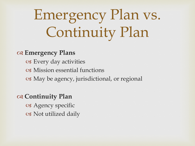## Emergency Plan vs. Continuity Plan

#### Z **Emergency Plans**

os Every day activities os Mission essential functions os May be agency, jurisdictional, or regional

#### Z **Continuity Plan**

os Agency specific  $\circ$  Not utilized daily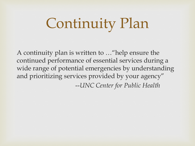## Continuity Plan

A continuity plan is written to …"help ensure the continued performance of essential services during a wide range of potential emergencies by understanding and prioritizing services provided by your agency" --*UNC Center for Public Health*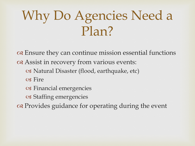### Why Do Agencies Need a Plan?

 $\alpha$  Ensure they can continue mission essential functions  $\alpha$  Assist in recovery from various events:  $\infty$  Natural Disaster (flood, earthquake, etc) cs Fire os Financial emergencies os Staffing emergencies  $\alpha$  Provides guidance for operating during the event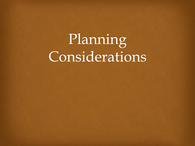## Planning Considerations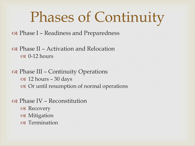#### Phases of Continuity

 $\infty$  Phase I – Readiness and Preparedness

 $\alpha$  Phase II – Activation and Relocation  $\alpha$  0-12 hours

 $\alpha$  Phase III – Continuity Operations  $\textdegree$  12 hours – 30 days  $\infty$  Or until resumption of normal operations

 $\alpha$  Phase IV – Reconstitution

- os Recovery
- os Mitigation
- os Termination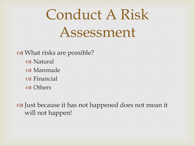## Conduct A Risk Assessment

 $\infty$  What risks are possible? **S** Natural W Manmade  $\circ$  Financial os Others

 $\alpha$  Just because it has not happened does not mean it will not happen!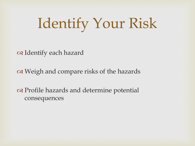## Identify Your Risk

or I dentify each hazard

 $\alpha$  Weigh and compare risks of the hazards

 $\alpha$  Profile hazards and determine potential consequences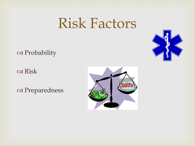#### Risk Factors

a Probability



os Risk

a Preparedness

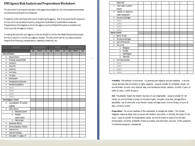#### EMS Agency Risk Analysis and Preparedness Worksheet:

This document is an overall evaluation of an agencies probability, risk, and preparedness based on potential events and circumstances.

Probability is the likelihood of an event impacting the agency. Risk is the potential for exposure to loss, which can be determined by using either qualitative or quantitative measures. Preparedness is the degree to which the agency could withstand the event or problem and continue to do the agency mission.

In making decisions for your agency it may be helpful to review the Hazard Analysis developed for the jurisdiction in which your agency resides. This document can tell you about possible hazards from flooding, transportation, hazardous materials, etc.

| Event                            |      | <b>Probability</b> |     |      | <b>Risk</b> |     |      | <b>Preparedness</b> |     |  |
|----------------------------------|------|--------------------|-----|------|-------------|-----|------|---------------------|-----|--|
|                                  | High | Medium             | Low | High | Medium      | Low | High | Medium              | Low |  |
| <b>Natural Events</b>            |      |                    |     |      |             |     |      |                     |     |  |
| Severe Storm<br>٠                |      |                    |     |      |             |     |      |                     |     |  |
| Flooding (coastal/tidal)<br>٠    |      |                    |     |      |             |     |      |                     |     |  |
| Ice Storm<br>٠                   |      |                    |     |      |             |     |      |                     |     |  |
| Snow fall<br>٠                   |      |                    |     |      |             |     |      |                     |     |  |
| <b>Wild Fire</b><br>٠            |      |                    |     |      |             |     |      |                     |     |  |
| Hurricane<br>٠                   |      |                    |     |      |             |     |      |                     |     |  |
| Tornado<br>٠                     |      |                    |     |      |             |     |      |                     |     |  |
| Earthquake<br>٠                  |      |                    |     |      |             |     |      |                     |     |  |
| <b>Temperature Extremes</b><br>٠ |      |                    |     |      |             |     |      |                     |     |  |
| Pandemic/Epidemic<br>٠           |      |                    |     |      |             |     |      |                     |     |  |
| (other)<br>۰                     |      |                    |     |      |             |     |      |                     |     |  |
| (other)<br>۰                     |      |                    |     |      |             |     |      |                     |     |  |
| (other)<br>۰                     |      |                    |     |      |             |     |      |                     |     |  |
| (other)<br>۰                     |      |                    |     |      |             |     |      |                     |     |  |
| <b>Technological Events</b>      |      |                    |     |      |             |     |      |                     |     |  |
| Unavailability of medical<br>٠   |      |                    |     |      |             |     |      |                     |     |  |
| supplies                         |      |                    |     |      |             |     |      |                     |     |  |
| Utility failure                  |      |                    |     |      |             |     |      |                     |     |  |
| o Electrical power               |      |                    |     |      |             |     |      |                     |     |  |
| Potable<br>۰                     |      |                    |     |      |             |     |      |                     |     |  |
| water/sewer                      |      |                    |     |      |             |     |      |                     |     |  |
| o Natural gas                    |      |                    |     |      |             |     |      |                     |     |  |
| Generator failure<br>٠           |      |                    |     |      |             |     |      |                     |     |  |
| Communications Failure<br>٠      |      |                    |     |      |             |     |      |                     |     |  |
| <b>Internal Fire</b><br>٠        |      |                    |     |      |             |     |      |                     |     |  |
| <b>Internal Flooding</b><br>٠    |      |                    |     |      |             |     |      |                     |     |  |
| Disruption in supply of<br>٠     |      |                    |     |      |             |     |      |                     |     |  |

|                     | diesel fuel                |  |  |  |  |  |
|---------------------|----------------------------|--|--|--|--|--|
| ٠                   | <b>Information Systems</b> |  |  |  |  |  |
|                     | <b>Failure</b>             |  |  |  |  |  |
| ٠                   | Inability to replace or    |  |  |  |  |  |
|                     | repair equipment           |  |  |  |  |  |
| ٠                   | <b>Structure Damage</b>    |  |  |  |  |  |
| ٠                   | (other)                    |  |  |  |  |  |
| ۰                   | (other)                    |  |  |  |  |  |
| ۰                   | (other)                    |  |  |  |  |  |
| ٠                   | (other)                    |  |  |  |  |  |
| <b>Human Events</b> |                            |  |  |  |  |  |
| ٠                   | <b>Bomb Threat</b>         |  |  |  |  |  |
| ٠                   | <b>Structural Damage</b>   |  |  |  |  |  |
| ٠                   | Lack of Personnel          |  |  |  |  |  |
| ٠                   | Terrorism                  |  |  |  |  |  |
|                     | o Biological               |  |  |  |  |  |
|                     | Nuclear<br>$\bullet$       |  |  |  |  |  |
|                     | Radiological<br>$\bullet$  |  |  |  |  |  |
|                     | Chemical<br>$\bullet$      |  |  |  |  |  |
| ٠                   | Civil Disturbances         |  |  |  |  |  |
| ٠                   | (other)                    |  |  |  |  |  |
| ٠                   | (other)                    |  |  |  |  |  |
| ۰                   | (other)                    |  |  |  |  |  |
| ۰                   | (other)                    |  |  |  |  |  |

Probability: The likelihood of occurrence. It is generally part objective and part statistical. It can also include elements that are intuitive or highly subjective. Issues to consider for probability include, but are not limited to known risks, historical data, and manufacture/vendor statistics. (H-within 5 years, Mwithin 25 years, L-within 50 years)

Risk: The potential impact the incident may have on your organization. Issues to consider for risk include, but are not limited to threat to live and/or health, disruption of services, damage/failure possibilities, loss of community trust, financial impact, and legal issues. (H-Over 30 days, M-up to 30 days, L-24 hours or less)

Preparedness: The current readiness of the organization to manage the incident. This includes mitigation measures (those likely to prevent the incident's occurrence, or minimize the impact if it did occur). Issues to consider for preparedness include, but are not limited to status of current plan, training status, insurance, availability of back-up systems, and community resources. (H-fully prepared, M-somewhat prepared, L-unprepared)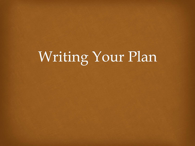## Writing Your Plan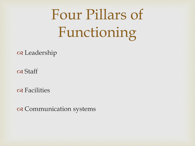# Four Pillars of Functioning

 $\alpha$  Leadership

os Staff

os Facilities

a Communication systems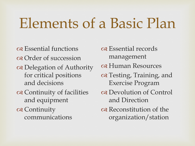## Elements of a Basic Plan

os Essential functions Z Order of succession a Delegation of Authority for critical positions and decisions a Continuity of facilities and equipment a Continuity communications

os Essential records management  $\alpha$  Human Resources  $\alpha$  Testing, Training, and Exercise Program  $\alpha$  Devolution of Control and Direction  $\alpha$  Reconstitution of the organization/station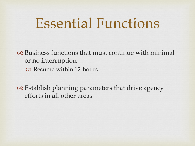#### Essential Functions

 $\alpha$  Business functions that must continue with minimal or no interruption  $\circ$  Resume within 12-hours

 $\alpha$  Establish planning parameters that drive agency efforts in all other areas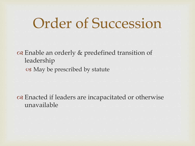#### Order of Succession

 $\infty$  Enable an orderly  $\&$  predefined transition of leadership  $\circ$  May be prescribed by statute

 $\infty$  Enacted if leaders are incapacitated or otherwise unavailable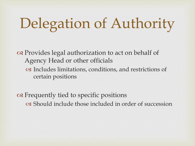# Delegation of Authority

 $\alpha$  Provides legal authorization to act on behalf of Agency Head or other officials os Includes limitations, conditions, and restrictions of certain positions

 $\alpha$  Frequently tied to specific positions W Should include those included in order of succession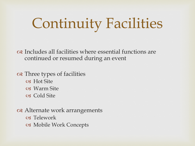## Continuity Facilities

 $\infty$  Includes all facilities where essential functions are continued or resumed during an event

 $\infty$  Three types of facilities  $\circ$  Hot Site os Warm Site W Cold Site

 $\alpha$  Alternate work arrangements os Telework

W Mobile Work Concepts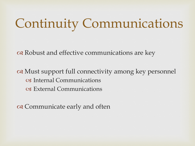## Continuity Communications

 $\alpha$  Robust and effective communications are key

 $\alpha$  Must support full connectivity among key personnel os Internal Communications os External Communications

 $\infty$  Communicate early and often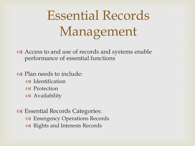## Essential Records Management

 $\alpha$  Access to and use of records and systems enable performance of essential functions

 $\alpha$  Plan needs to include:

- os Identification
- os Protection
- os Availability

 $\alpha$  Essential Records Categories: os Emergency Operations Records os Rights and Interests Records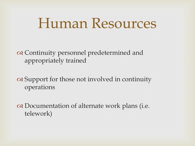#### Human Resources

 $\infty$  Continuity personnel predetermined and appropriately trained

 $\alpha$  Support for those not involved in continuity operations

 $\infty$  Documentation of alternate work plans (i.e. telework)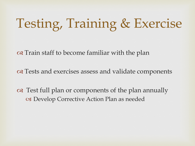### Testing, Training & Exercise

 $\alpha$  Train staff to become familiar with the plan

 $\alpha$  Tests and exercises assess and validate components

 $\infty$  Test full plan or components of the plan annually os Develop Corrective Action Plan as needed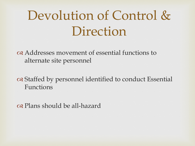#### Devolution of Control & Direction

 $\alpha$  Addresses movement of essential functions to alternate site personnel

 $\alpha$  Staffed by personnel identified to conduct Essential Functions

 $\alpha$  Plans should be all-hazard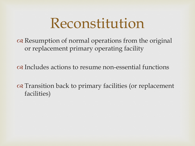#### Reconstitution

 $\alpha$  Resumption of normal operations from the original or replacement primary operating facility

 $\alpha$  Includes actions to resume non-essential functions

 $\alpha$  Transition back to primary facilities (or replacement facilities)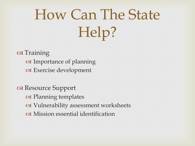# How Can The State Help?

os Training os Importance of planning os Exercise development

 $\alpha$  Resource Support  $\circ$  Planning templates os Vulnerability assessment worksheets  $\circ$  Mission essential identification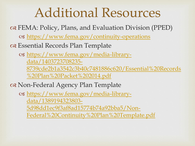#### Additional Resources

 $\alpha$  FEMA: Policy, Plans, and Evaluation Division (PPED)

W <https://www.fema.gov/continuity-operations>

 $\alpha$  Essential Records Plan Template

W https://www.fema.gov/media-librarydata/1403723708235- 8739cde2b1a3542c3b40c7481886c620/Essential%20Records %20Plan%20Packet%202014.pdf

 $\alpha$  Non-Federal Agency Plan Template

W https://www.fema.gov/media-librarydata/1389194323803- 5d98dd1ec9f3af8ad15774b74a92bba5/Non-Federal%20Continuity%20Plan%20Template.pdf